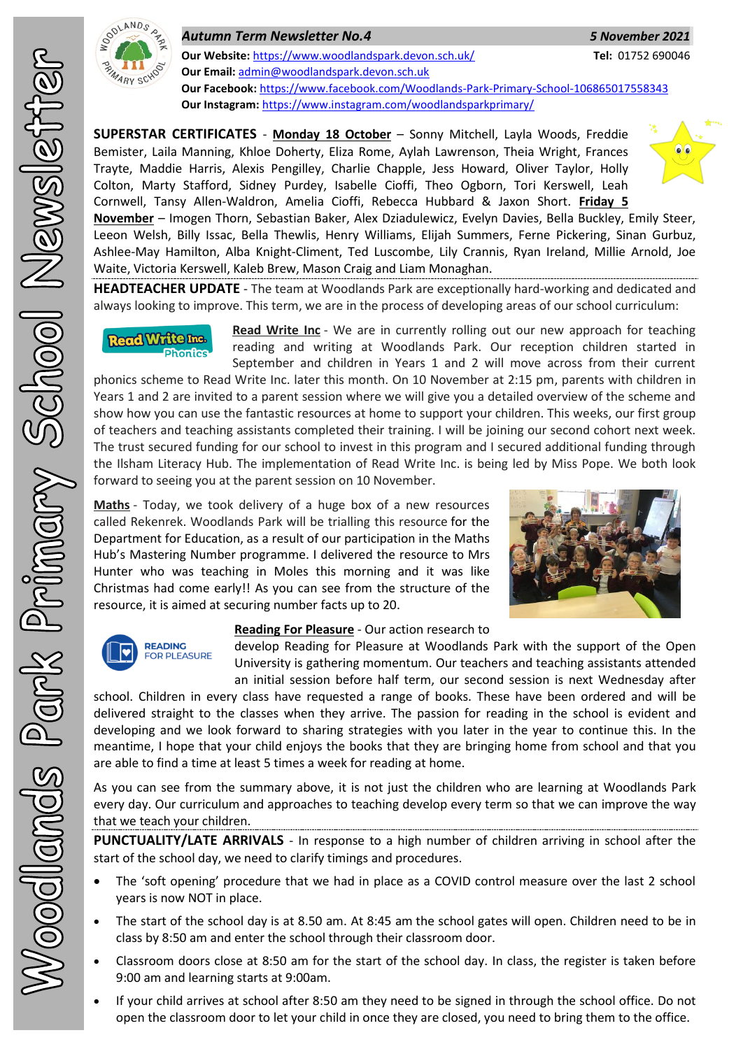

*Autumn Term Newsletter No.4 5 November 2021* **Our Website:** <https://www.woodlandspark.devon.sch.uk/> **Tel:** 01752 690046 **Our Email:** [admin@woodlandspark.devon.sch.uk](mailto:admin@woodlandspark.devon.sch.uk) **Our Facebook:** <https://www.facebook.com/Woodlands-Park-Primary-School-106865017558343> **Our Instagram:** <https://www.instagram.com/woodlandsparkprimary/>

**SUPERSTAR CERTIFICATES** - **Monday 18 October** – Sonny Mitchell, Layla Woods, Freddie Bemister, Laila Manning, Khloe Doherty, Eliza Rome, Aylah Lawrenson, Theia Wright, Frances Trayte, Maddie Harris, Alexis Pengilley, Charlie Chapple, Jess Howard, Oliver Taylor, Holly Colton, Marty Stafford, Sidney Purdey, Isabelle Cioffi, Theo Ogborn, Tori Kerswell, Leah Cornwell, Tansy Allen-Waldron, Amelia Cioffi, Rebecca Hubbard & Jaxon Short. **Friday 5** 



**November** – Imogen Thorn, Sebastian Baker, Alex Dziadulewicz, Evelyn Davies, Bella Buckley, Emily Steer, Leeon Welsh, Billy Issac, Bella Thewlis, Henry Williams, Elijah Summers, Ferne Pickering, Sinan Gurbuz, Ashlee-May Hamilton, Alba Knight-Climent, Ted Luscombe, Lily Crannis, Ryan Ireland, Millie Arnold, Joe Waite, Victoria Kerswell, Kaleb Brew, Mason Craig and Liam Monaghan.

**HEADTEACHER UPDATE** - The team at Woodlands Park are exceptionally hard-working and dedicated and always looking to improve. This term, we are in the process of developing areas of our school curriculum:

**Read Write Inc. Bhonfac** 

**Read Write Inc** - We are in currently rolling out our new approach for teaching reading and writing at Woodlands Park. Our reception children started in September and children in Years 1 and 2 will move across from their current

phonics scheme to Read Write Inc. later this month. On 10 November at 2:15 pm, parents with children in Years 1 and 2 are invited to a parent session where we will give you a detailed overview of the scheme and show how you can use the fantastic resources at home to support your children. This weeks, our first group of teachers and teaching assistants completed their training. I will be joining our second cohort next week. The trust secured funding for our school to invest in this program and I secured additional funding through the Ilsham Literacy Hub. The implementation of Read Write Inc. is being led by Miss Pope. We both look forward to seeing you at the parent session on 10 November.

**Maths** - Today, we took delivery of a huge box of a new resources called Rekenrek. Woodlands Park will be trialling this resource for the Department for Education, as a result of our participation in the Maths Hub's Mastering Number programme. I delivered the resource to Mrs Hunter who was teaching in Moles this morning and it was like Christmas had come early!! As you can see from the structure of the resource, it is aimed at securing number facts up to 20.





## **Reading For Pleasure** - Our action research to

develop Reading for Pleasure at Woodlands Park with the support of the Open University is gathering momentum. Our teachers and teaching assistants attended an initial session before half term, our second session is next Wednesday after

school. Children in every class have requested a range of books. These have been ordered and will be delivered straight to the classes when they arrive. The passion for reading in the school is evident and developing and we look forward to sharing strategies with you later in the year to continue this. In the meantime, I hope that your child enjoys the books that they are bringing home from school and that you are able to find a time at least 5 times a week for reading at home.

As you can see from the summary above, it is not just the children who are learning at Woodlands Park every day. Our curriculum and approaches to teaching develop every term so that we can improve the way that we teach your children.

**PUNCTUALITY/LATE ARRIVALS** - In response to a high number of children arriving in school after the start of the school day, we need to clarify timings and procedures.

- The 'soft opening' procedure that we had in place as a COVID control measure over the last 2 school years is now NOT in place.
- The start of the school day is at 8.50 am. At 8:45 am the school gates will open. Children need to be in class by 8:50 am and enter the school through their classroom door.
- Classroom doors close at 8:50 am for the start of the school day. In class, the register is taken before 9:00 am and learning starts at 9:00am.
- If your child arrives at school after 8:50 am they need to be signed in through the school office. Do not open the classroom door to let your child in once they are closed, you need to bring them to the office.